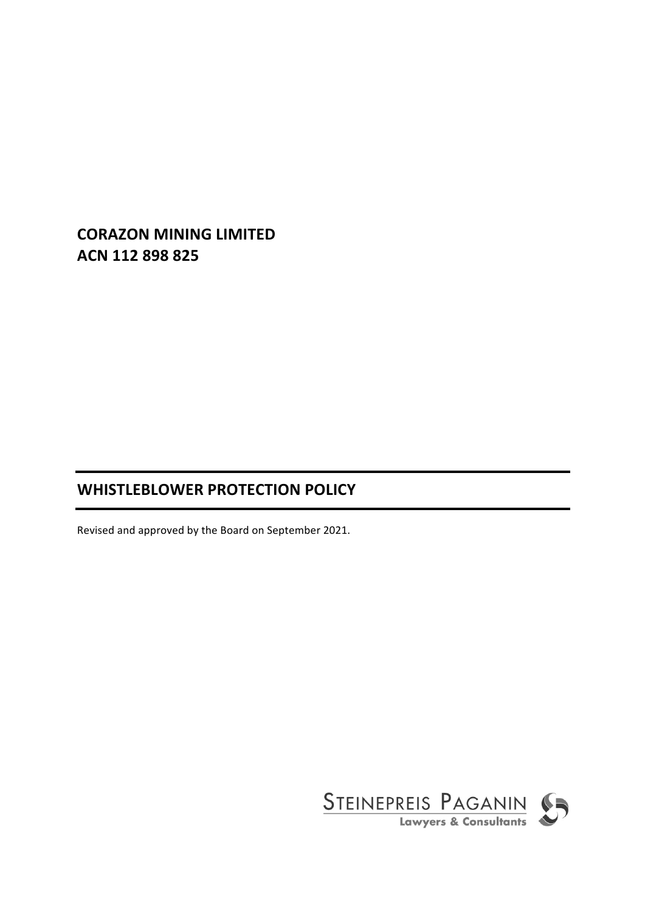# **CORAZON MINING LIMITED ACN 112 898 825**

# **WHISTLEBLOWER PROTECTION POLICY**

Revised and approved by the Board on September 2021.

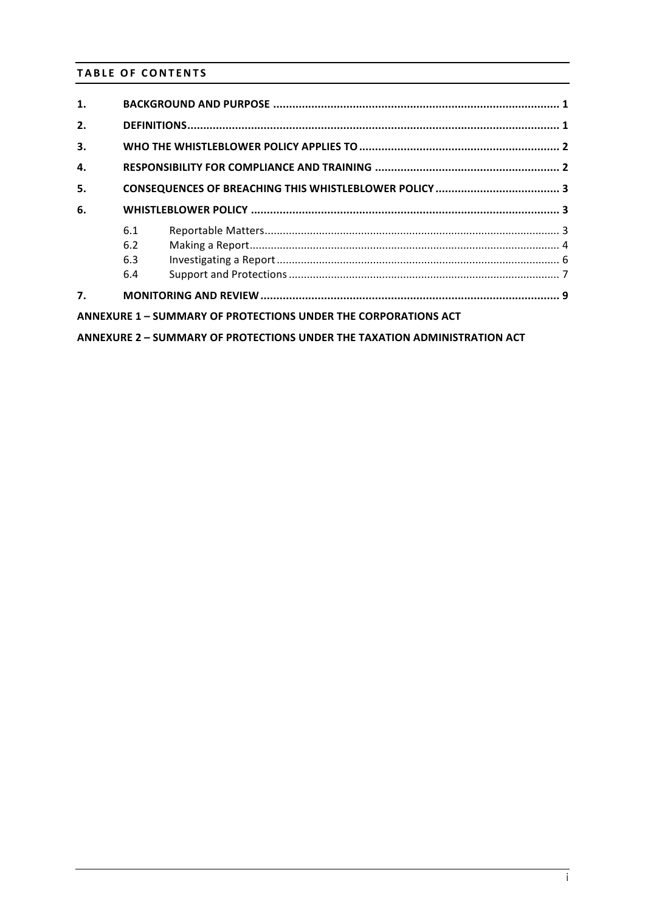# **TABLE OF CONTENTS**

| 1.                                                                        |     |  |  |  |  |  |
|---------------------------------------------------------------------------|-----|--|--|--|--|--|
| 2.                                                                        |     |  |  |  |  |  |
| 3.                                                                        |     |  |  |  |  |  |
| 4.                                                                        |     |  |  |  |  |  |
| 5.                                                                        |     |  |  |  |  |  |
| 6.                                                                        |     |  |  |  |  |  |
|                                                                           | 6.1 |  |  |  |  |  |
|                                                                           | 6.2 |  |  |  |  |  |
|                                                                           | 6.3 |  |  |  |  |  |
|                                                                           | 6.4 |  |  |  |  |  |
| 7.                                                                        |     |  |  |  |  |  |
| ANNEXURE 1 - SUMMARY OF PROTECTIONS UNDER THE CORPORATIONS ACT            |     |  |  |  |  |  |
| ANNEXURE 2 - SUMMARY OF PROTECTIONS UNDER THE TAXATION ADMINISTRATION ACT |     |  |  |  |  |  |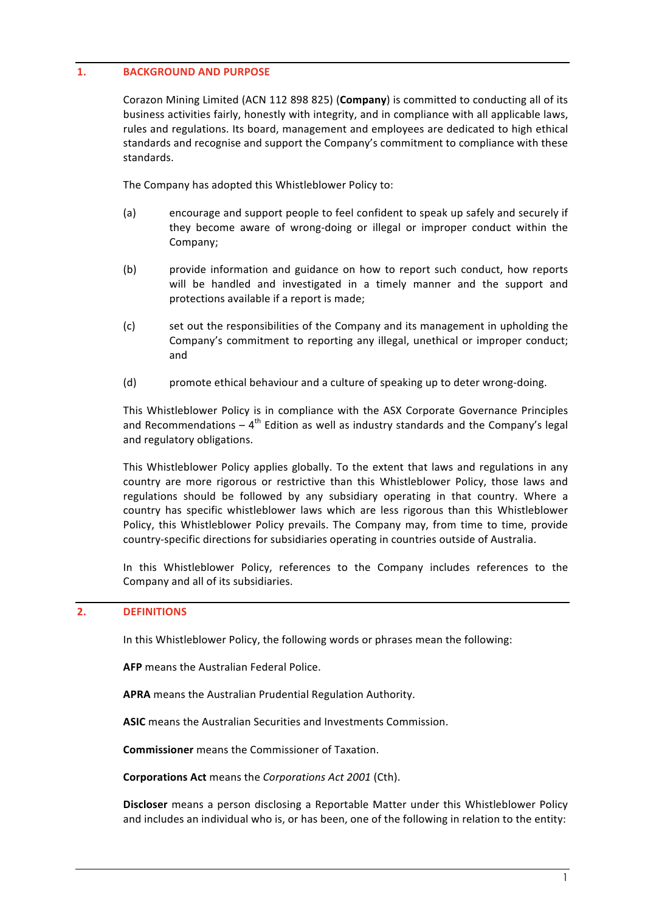# **1. BACKGROUND AND PURPOSE**

Corazon Mining Limited (ACN 112 898 825) (Company) is committed to conducting all of its business activities fairly, honestly with integrity, and in compliance with all applicable laws, rules and regulations. Its board, management and employees are dedicated to high ethical standards and recognise and support the Company's commitment to compliance with these standards.

The Company has adopted this Whistleblower Policy to:

- (a) encourage and support people to feel confident to speak up safely and securely if they become aware of wrong-doing or illegal or improper conduct within the Company;
- (b) provide information and guidance on how to report such conduct, how reports will be handled and investigated in a timely manner and the support and protections available if a report is made;
- (c) set out the responsibilities of the Company and its management in upholding the Company's commitment to reporting any illegal, unethical or improper conduct; and
- (d) promote ethical behaviour and a culture of speaking up to deter wrong-doing.

This Whistleblower Policy is in compliance with the ASX Corporate Governance Principles and Recommendations –  $4<sup>th</sup>$  Edition as well as industry standards and the Company's legal and regulatory obligations.

This Whistleblower Policy applies globally. To the extent that laws and regulations in any country are more rigorous or restrictive than this Whistleblower Policy, those laws and regulations should be followed by any subsidiary operating in that country. Where a country has specific whistleblower laws which are less rigorous than this Whistleblower Policy, this Whistleblower Policy prevails. The Company may, from time to time, provide country-specific directions for subsidiaries operating in countries outside of Australia.

In this Whistleblower Policy, references to the Company includes references to the Company and all of its subsidiaries.

### **2. DEFINITIONS**

In this Whistleblower Policy, the following words or phrases mean the following:

**AFP** means the Australian Federal Police.

APRA means the Australian Prudential Regulation Authority.

ASIC means the Australian Securities and Investments Commission.

**Commissioner** means the Commissioner of Taxation.

**Corporations Act** means the *Corporations Act 2001* (Cth).

**Discloser** means a person disclosing a Reportable Matter under this Whistleblower Policy and includes an individual who is, or has been, one of the following in relation to the entity: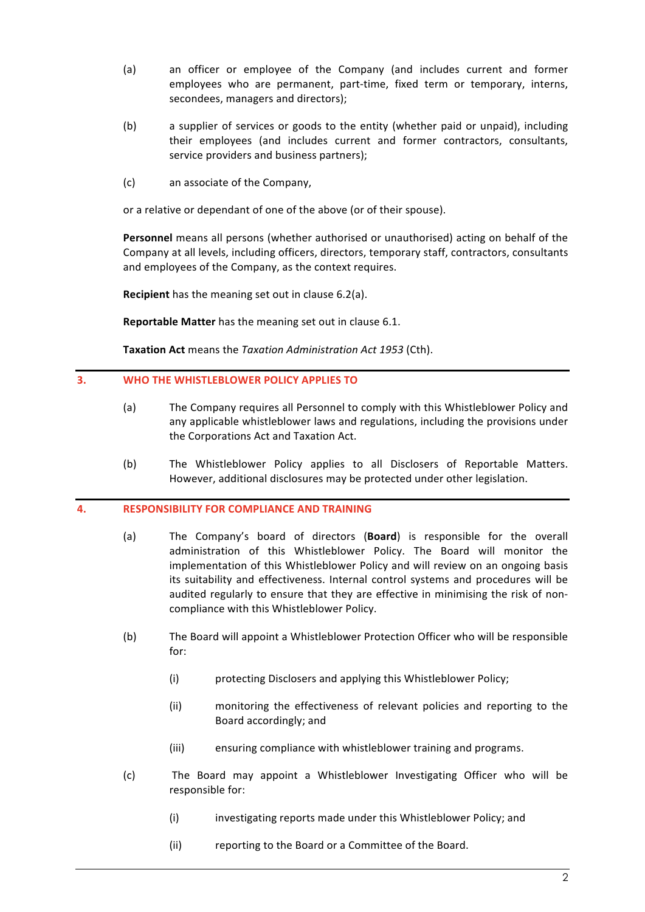- (a) an officer or employee of the Company (and includes current and former employees who are permanent, part-time, fixed term or temporary, interns, secondees, managers and directors);
- (b) a supplier of services or goods to the entity (whether paid or unpaid), including their employees (and includes current and former contractors, consultants, service providers and business partners);
- (c) an associate of the Company,

or a relative or dependant of one of the above (or of their spouse).

**Personnel** means all persons (whether authorised or unauthorised) acting on behalf of the Company at all levels, including officers, directors, temporary staff, contractors, consultants and employees of the Company, as the context requires.

**Recipient** has the meaning set out in clause 6.2(a).

**Reportable Matter** has the meaning set out in clause 6.1.

Taxation Act means the *Taxation Administration Act 1953* (Cth).

### **3. WHO THE WHISTLEBLOWER POLICY APPLIES TO**

- (a) The Company requires all Personnel to comply with this Whistleblower Policy and any applicable whistleblower laws and regulations, including the provisions under the Corporations Act and Taxation Act.
- (b) The Whistleblower Policy applies to all Disclosers of Reportable Matters. However, additional disclosures may be protected under other legislation.

### **4. RESPONSIBILITY FOR COMPLIANCE AND TRAINING**

- (a) The Company's board of directors (**Board**) is responsible for the overall administration of this Whistleblower Policy. The Board will monitor the implementation of this Whistleblower Policy and will review on an ongoing basis its suitability and effectiveness. Internal control systems and procedures will be audited regularly to ensure that they are effective in minimising the risk of noncompliance with this Whistleblower Policy.
- (b) The Board will appoint a Whistleblower Protection Officer who will be responsible for:
	- (i) protecting Disclosers and applying this Whistleblower Policy;
	- (ii) monitoring the effectiveness of relevant policies and reporting to the Board accordingly; and
	- (iii) ensuring compliance with whistleblower training and programs.
- (c) The Board may appoint a Whistleblower Investigating Officer who will be responsible for:
	- (i) investigating reports made under this Whistleblower Policy; and
	- (ii) reporting to the Board or a Committee of the Board.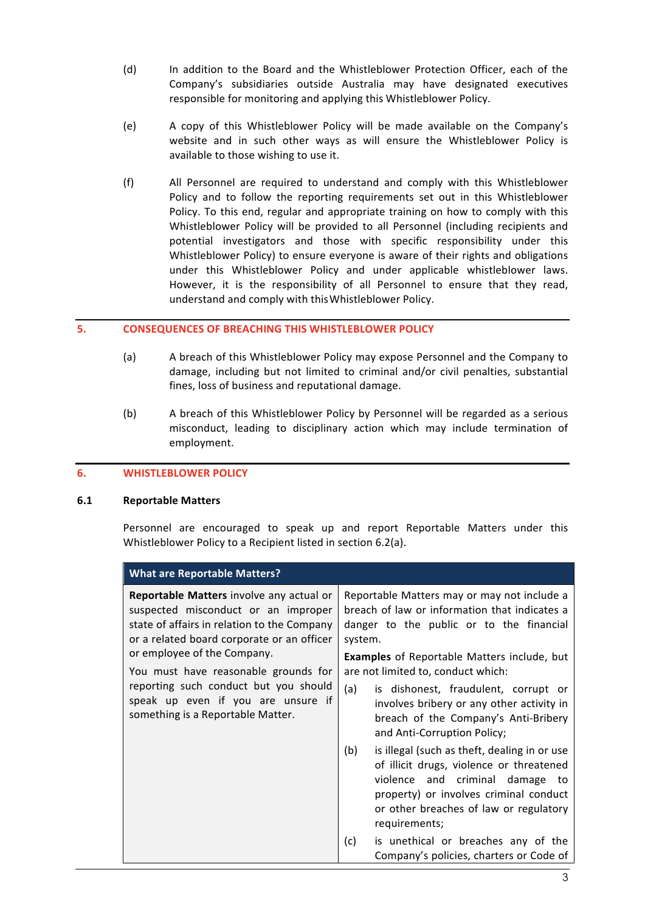- (d) In addition to the Board and the Whistleblower Protection Officer, each of the Company's subsidiaries outside Australia may have designated executives responsible for monitoring and applying this Whistleblower Policy.
- (e) A copy of this Whistleblower Policy will be made available on the Company's website and in such other ways as will ensure the Whistleblower Policy is available to those wishing to use it.
- (f) All Personnel are required to understand and comply with this Whistleblower Policy and to follow the reporting requirements set out in this Whistleblower Policy. To this end, regular and appropriate training on how to comply with this Whistleblower Policy will be provided to all Personnel (including recipients and potential investigators and those with specific responsibility under this Whistleblower Policy) to ensure everyone is aware of their rights and obligations under this Whistleblower Policy and under applicable whistleblower laws. However, it is the responsibility of all Personnel to ensure that they read, understand and comply with this Whistleblower Policy.

### **5. CONSEQUENCES OF BREACHING THIS WHISTLEBLOWER POLICY**

- (a) A breach of this Whistleblower Policy may expose Personnel and the Company to damage, including but not limited to criminal and/or civil penalties, substantial fines, loss of business and reputational damage.
- (b) A breach of this Whistleblower Policy by Personnel will be regarded as a serious misconduct, leading to disciplinary action which may include termination of employment.

### **6. WHISTLEBLOWER POLICY**

### **6.1 Reportable Matters**

Personnel are encouraged to speak up and report Reportable Matters under this Whistleblower Policy to a Recipient listed in section 6.2(a).

| <b>What are Reportable Matters?</b>                                                                                                                                                                                                                                                                                                                                                          |                                                                                                                                                                                                                                                                                                                                                                                                                                                                                                                                                                                                                                                                                                                                   |  |  |  |  |  |
|----------------------------------------------------------------------------------------------------------------------------------------------------------------------------------------------------------------------------------------------------------------------------------------------------------------------------------------------------------------------------------------------|-----------------------------------------------------------------------------------------------------------------------------------------------------------------------------------------------------------------------------------------------------------------------------------------------------------------------------------------------------------------------------------------------------------------------------------------------------------------------------------------------------------------------------------------------------------------------------------------------------------------------------------------------------------------------------------------------------------------------------------|--|--|--|--|--|
| Reportable Matters involve any actual or<br>suspected misconduct or an improper<br>state of affairs in relation to the Company<br>or a related board corporate or an officer<br>or employee of the Company.<br>You must have reasonable grounds for<br>reporting such conduct but you should<br>(a)<br>speak up even if you are unsure if<br>something is a Reportable Matter.<br>(b)<br>(c) | Reportable Matters may or may not include a<br>breach of law or information that indicates a<br>danger to the public or to the financial<br>system.<br><b>Examples</b> of Reportable Matters include, but<br>are not limited to, conduct which:<br>is dishonest, fraudulent, corrupt or<br>involves bribery or any other activity in<br>breach of the Company's Anti-Bribery<br>and Anti-Corruption Policy;<br>is illegal (such as theft, dealing in or use<br>of illicit drugs, violence or threatened<br>violence and criminal damage to<br>property) or involves criminal conduct<br>or other breaches of law or regulatory<br>requirements;<br>is unethical or breaches any of the<br>Company's policies, charters or Code of |  |  |  |  |  |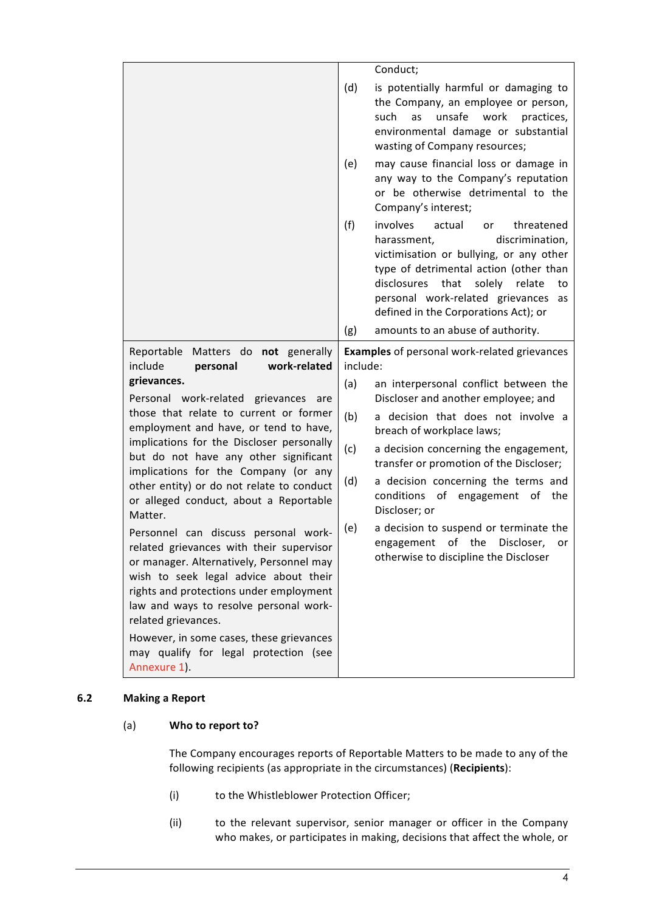|                                                                                                                                                                                                                                                                                                                                                                                                                                                                                                                                                                                                                                                                                                                                                                        |                                                                 | Conduct;                                                                                                                                                                                                                                                                                                                                                                                                                                                            |
|------------------------------------------------------------------------------------------------------------------------------------------------------------------------------------------------------------------------------------------------------------------------------------------------------------------------------------------------------------------------------------------------------------------------------------------------------------------------------------------------------------------------------------------------------------------------------------------------------------------------------------------------------------------------------------------------------------------------------------------------------------------------|-----------------------------------------------------------------|---------------------------------------------------------------------------------------------------------------------------------------------------------------------------------------------------------------------------------------------------------------------------------------------------------------------------------------------------------------------------------------------------------------------------------------------------------------------|
|                                                                                                                                                                                                                                                                                                                                                                                                                                                                                                                                                                                                                                                                                                                                                                        | (d)                                                             | is potentially harmful or damaging to<br>the Company, an employee or person,<br>such<br>unsafe<br>work<br>as<br>practices,<br>environmental damage or substantial<br>wasting of Company resources;                                                                                                                                                                                                                                                                  |
|                                                                                                                                                                                                                                                                                                                                                                                                                                                                                                                                                                                                                                                                                                                                                                        | (e)                                                             | may cause financial loss or damage in<br>any way to the Company's reputation<br>or be otherwise detrimental to the<br>Company's interest;                                                                                                                                                                                                                                                                                                                           |
|                                                                                                                                                                                                                                                                                                                                                                                                                                                                                                                                                                                                                                                                                                                                                                        | (f)                                                             | involves<br>actual<br>threatened<br>or<br>discrimination,<br>harassment,<br>victimisation or bullying, or any other<br>type of detrimental action (other than<br>disclosures<br>that<br>solely<br>relate<br>to<br>personal work-related grievances<br>as<br>defined in the Corporations Act); or                                                                                                                                                                    |
|                                                                                                                                                                                                                                                                                                                                                                                                                                                                                                                                                                                                                                                                                                                                                                        | (g)                                                             | amounts to an abuse of authority.                                                                                                                                                                                                                                                                                                                                                                                                                                   |
| Matters do<br>not generally<br>Reportable<br>include<br>work-related<br>personal                                                                                                                                                                                                                                                                                                                                                                                                                                                                                                                                                                                                                                                                                       | <b>Examples</b> of personal work-related grievances<br>include: |                                                                                                                                                                                                                                                                                                                                                                                                                                                                     |
| grievances.<br>Personal work-related<br>grievances<br>are<br>those that relate to current or former<br>employment and have, or tend to have,<br>implications for the Discloser personally<br>but do not have any other significant<br>implications for the Company (or any<br>other entity) or do not relate to conduct<br>or alleged conduct, about a Reportable<br>Matter.<br>Personnel can discuss personal work-<br>related grievances with their supervisor<br>or manager. Alternatively, Personnel may<br>wish to seek legal advice about their<br>rights and protections under employment<br>law and ways to resolve personal work-<br>related grievances.<br>However, in some cases, these grievances<br>may qualify for legal protection (see<br>Annexure 1). | (a)<br>(b)<br>(c)<br>(d)<br>(e)                                 | an interpersonal conflict between the<br>Discloser and another employee; and<br>a decision that does not involve a<br>breach of workplace laws;<br>a decision concerning the engagement,<br>transfer or promotion of the Discloser;<br>a decision concerning the terms and<br>conditions<br>of<br>engagement<br>of<br>the<br>Discloser; or<br>a decision to suspend or terminate the<br>engagement of the Discloser,<br>or<br>otherwise to discipline the Discloser |

# **6.2 Making a Report**

# (a) **Who to report to?**

The Company encourages reports of Reportable Matters to be made to any of the following recipients (as appropriate in the circumstances) (Recipients):

- (i) to the Whistleblower Protection Officer;
- (ii) to the relevant supervisor, senior manager or officer in the Company who makes, or participates in making, decisions that affect the whole, or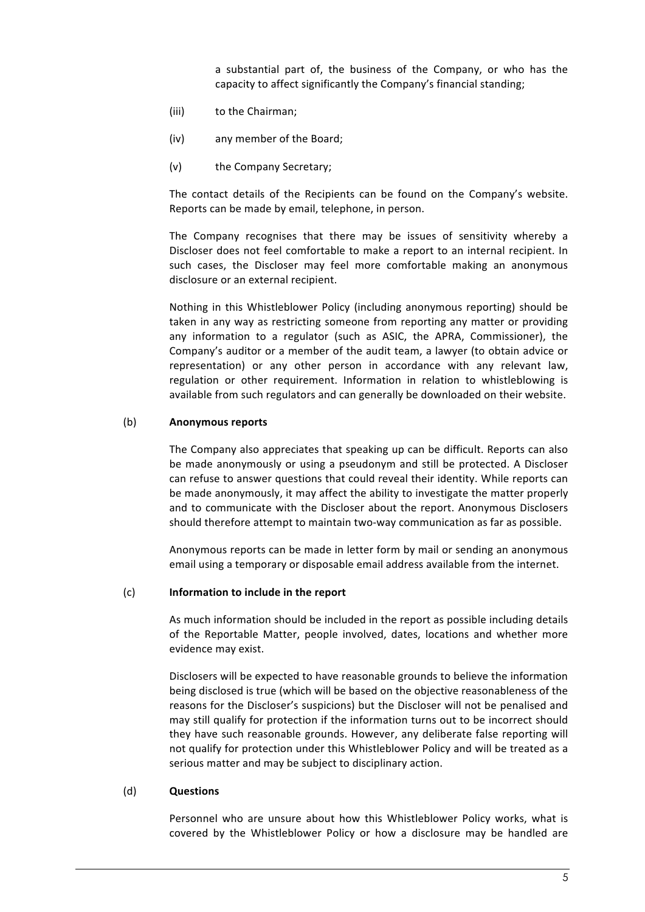a substantial part of, the business of the Company, or who has the capacity to affect significantly the Company's financial standing;

- (iii) to the Chairman;
- (iv) any member of the Board;
- (v) the Company Secretary;

The contact details of the Recipients can be found on the Company's website. Reports can be made by email, telephone, in person.

The Company recognises that there may be issues of sensitivity whereby a Discloser does not feel comfortable to make a report to an internal recipient. In such cases, the Discloser may feel more comfortable making an anonymous disclosure or an external recipient.

Nothing in this Whistleblower Policy (including anonymous reporting) should be taken in any way as restricting someone from reporting any matter or providing any information to a regulator (such as ASIC, the APRA, Commissioner), the Company's auditor or a member of the audit team, a lawyer (to obtain advice or representation) or any other person in accordance with any relevant law, regulation or other requirement. Information in relation to whistleblowing is available from such regulators and can generally be downloaded on their website.

#### (b) **Anonymous reports**

The Company also appreciates that speaking up can be difficult. Reports can also be made anonymously or using a pseudonym and still be protected. A Discloser can refuse to answer questions that could reveal their identity. While reports can be made anonymously, it may affect the ability to investigate the matter properly and to communicate with the Discloser about the report. Anonymous Disclosers should therefore attempt to maintain two-way communication as far as possible.

Anonymous reports can be made in letter form by mail or sending an anonymous email using a temporary or disposable email address available from the internet.

#### (c) **Information to include in the report**

As much information should be included in the report as possible including details of the Reportable Matter, people involved, dates, locations and whether more evidence may exist.

Disclosers will be expected to have reasonable grounds to believe the information being disclosed is true (which will be based on the objective reasonableness of the reasons for the Discloser's suspicions) but the Discloser will not be penalised and may still qualify for protection if the information turns out to be incorrect should they have such reasonable grounds. However, any deliberate false reporting will not qualify for protection under this Whistleblower Policy and will be treated as a serious matter and may be subject to disciplinary action.

#### (d) **Questions**

Personnel who are unsure about how this Whistleblower Policy works, what is covered by the Whistleblower Policy or how a disclosure may be handled are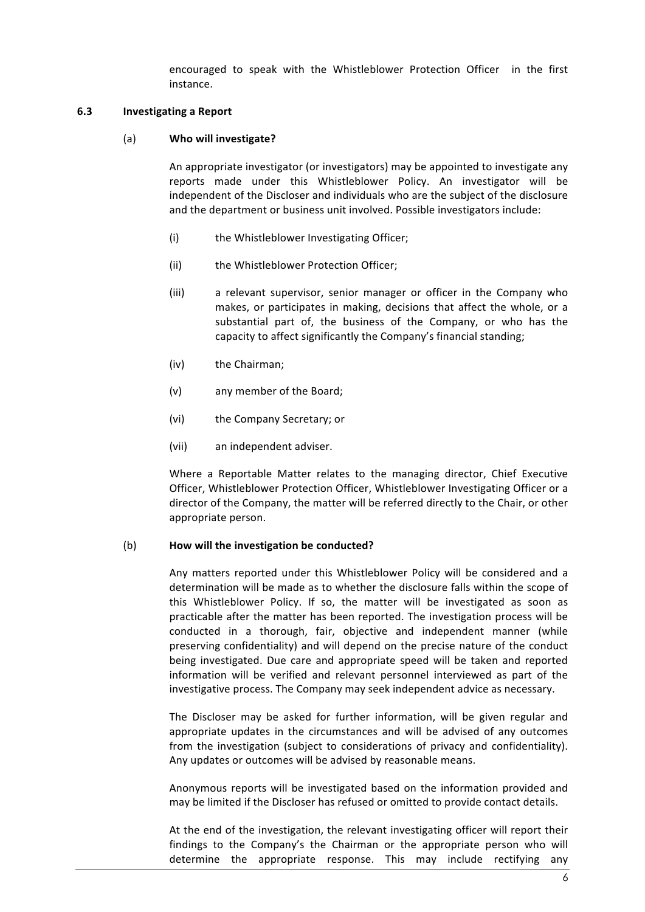encouraged to speak with the Whistleblower Protection Officer in the first instance.

### **6.3 Investigating a Report**

### (a) **Who will investigate?**

An appropriate investigator (or investigators) may be appointed to investigate any reports made under this Whistleblower Policy. An investigator will be independent of the Discloser and individuals who are the subject of the disclosure and the department or business unit involved. Possible investigators include:

- (i) the Whistleblower Investigating Officer;
- (ii) the Whistleblower Protection Officer;
- (iii) a relevant supervisor, senior manager or officer in the Company who makes, or participates in making, decisions that affect the whole, or a substantial part of, the business of the Company, or who has the capacity to affect significantly the Company's financial standing;
- (iv) the Chairman;
- (v) any member of the Board;
- (vi) the Company Secretary; or
- (vii) an independent adviser.

Where a Reportable Matter relates to the managing director, Chief Executive Officer, Whistleblower Protection Officer, Whistleblower Investigating Officer or a director of the Company, the matter will be referred directly to the Chair, or other appropriate person.

### (b) **How** will the investigation be conducted?

Any matters reported under this Whistleblower Policy will be considered and a determination will be made as to whether the disclosure falls within the scope of this Whistleblower Policy. If so, the matter will be investigated as soon as practicable after the matter has been reported. The investigation process will be conducted in a thorough, fair, objective and independent manner (while preserving confidentiality) and will depend on the precise nature of the conduct being investigated. Due care and appropriate speed will be taken and reported information will be verified and relevant personnel interviewed as part of the investigative process. The Company may seek independent advice as necessary.

The Discloser may be asked for further information, will be given regular and appropriate updates in the circumstances and will be advised of any outcomes from the investigation (subject to considerations of privacy and confidentiality). Any updates or outcomes will be advised by reasonable means.

Anonymous reports will be investigated based on the information provided and may be limited if the Discloser has refused or omitted to provide contact details.

At the end of the investigation, the relevant investigating officer will report their findings to the Company's the Chairman or the appropriate person who will determine the appropriate response. This may include rectifying any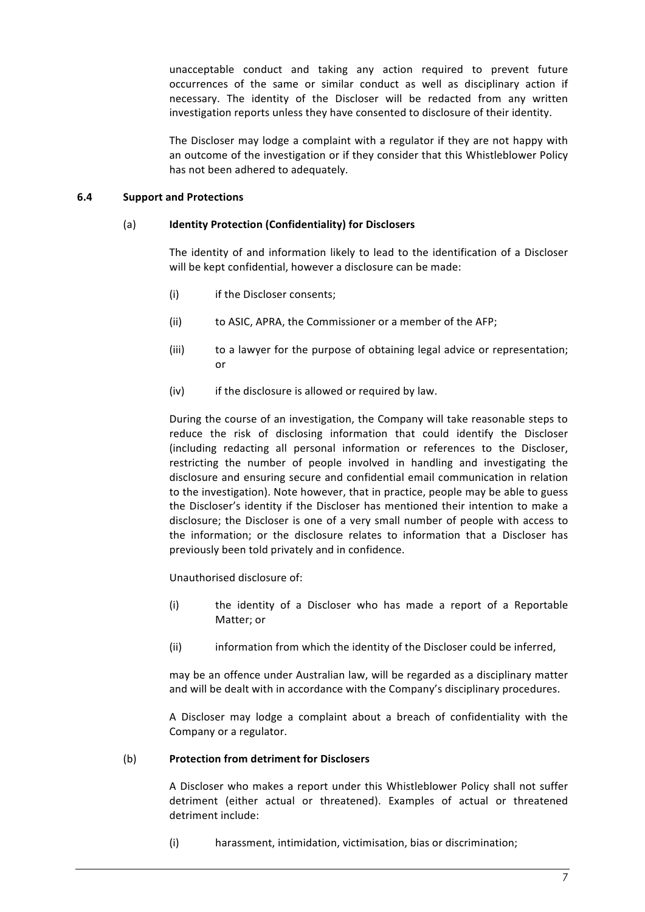unacceptable conduct and taking any action required to prevent future occurrences of the same or similar conduct as well as disciplinary action if necessary. The identity of the Discloser will be redacted from any written investigation reports unless they have consented to disclosure of their identity.

The Discloser may lodge a complaint with a regulator if they are not happy with an outcome of the investigation or if they consider that this Whistleblower Policy has not been adhered to adequately.

### **6.4 Support and Protections**

### (a) **Identity Protection (Confidentiality) for Disclosers**

The identity of and information likely to lead to the identification of a Discloser will be kept confidential, however a disclosure can be made:

- (i) if the Discloser consents;
- (ii) to ASIC, APRA, the Commissioner or a member of the AFP;
- (iii) to a lawyer for the purpose of obtaining legal advice or representation; or
- $(iv)$  if the disclosure is allowed or required by law.

During the course of an investigation, the Company will take reasonable steps to reduce the risk of disclosing information that could identify the Discloser (including redacting all personal information or references to the Discloser, restricting the number of people involved in handling and investigating the disclosure and ensuring secure and confidential email communication in relation to the investigation). Note however, that in practice, people may be able to guess the Discloser's identity if the Discloser has mentioned their intention to make a disclosure; the Discloser is one of a very small number of people with access to the information; or the disclosure relates to information that a Discloser has previously been told privately and in confidence.

Unauthorised disclosure of:

- (i) the identity of a Discloser who has made a report of a Reportable Matter; or
- (ii) information from which the identity of the Discloser could be inferred,

may be an offence under Australian law, will be regarded as a disciplinary matter and will be dealt with in accordance with the Company's disciplinary procedures.

A Discloser may lodge a complaint about a breach of confidentiality with the Company or a regulator.

### (b) **Protection from detriment for Disclosers**

A Discloser who makes a report under this Whistleblower Policy shall not suffer detriment (either actual or threatened). Examples of actual or threatened detriment include:

(i) harassment, intimidation, victimisation, bias or discrimination;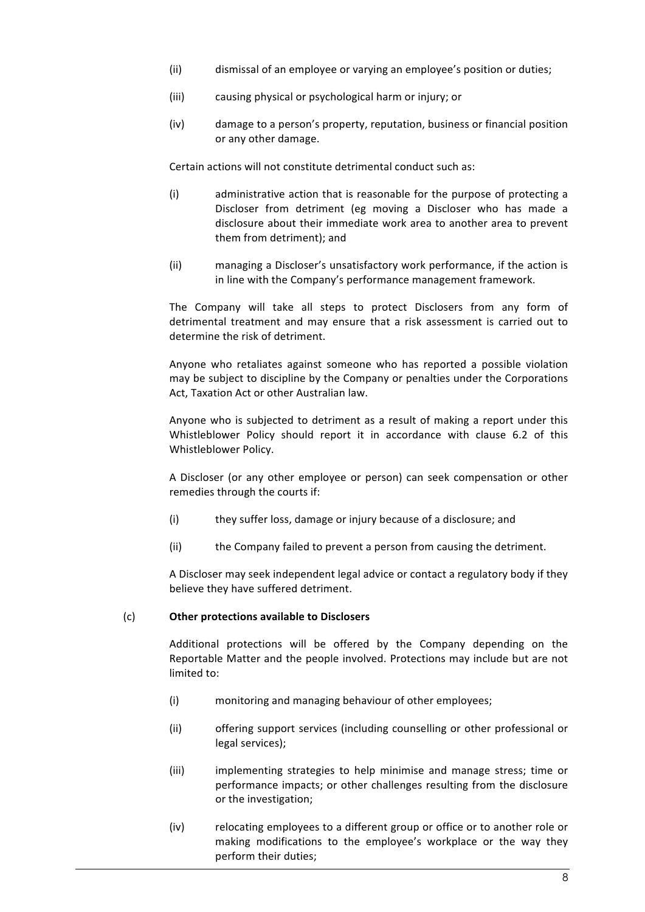- (ii) dismissal of an employee or varying an employee's position or duties;
- (iii) causing physical or psychological harm or injury; or
- (iv) damage to a person's property, reputation, business or financial position or any other damage.

Certain actions will not constitute detrimental conduct such as:

- (i) administrative action that is reasonable for the purpose of protecting a Discloser from detriment (eg moving a Discloser who has made a disclosure about their immediate work area to another area to prevent them from detriment); and
- (ii) managing a Discloser's unsatisfactory work performance, if the action is in line with the Company's performance management framework.

The Company will take all steps to protect Disclosers from any form of detrimental treatment and may ensure that a risk assessment is carried out to determine the risk of detriment.

Anyone who retaliates against someone who has reported a possible violation may be subject to discipline by the Company or penalties under the Corporations Act, Taxation Act or other Australian law.

Anyone who is subjected to detriment as a result of making a report under this Whistleblower Policy should report it in accordance with clause 6.2 of this Whistleblower Policy.

A Discloser (or any other employee or person) can seek compensation or other remedies through the courts if:

- (i) they suffer loss, damage or injury because of a disclosure; and
- (ii) the Company failed to prevent a person from causing the detriment.

A Discloser may seek independent legal advice or contact a regulatory body if they believe they have suffered detriment.

### (c) **Other protections available to Disclosers**

Additional protections will be offered by the Company depending on the Reportable Matter and the people involved. Protections may include but are not limited to:

- (i) monitoring and managing behaviour of other employees;
- (ii) offering support services (including counselling or other professional or legal services):
- (iii) implementing strategies to help minimise and manage stress; time or performance impacts; or other challenges resulting from the disclosure or the investigation;
- (iv) relocating employees to a different group or office or to another role or making modifications to the employee's workplace or the way they perform their duties;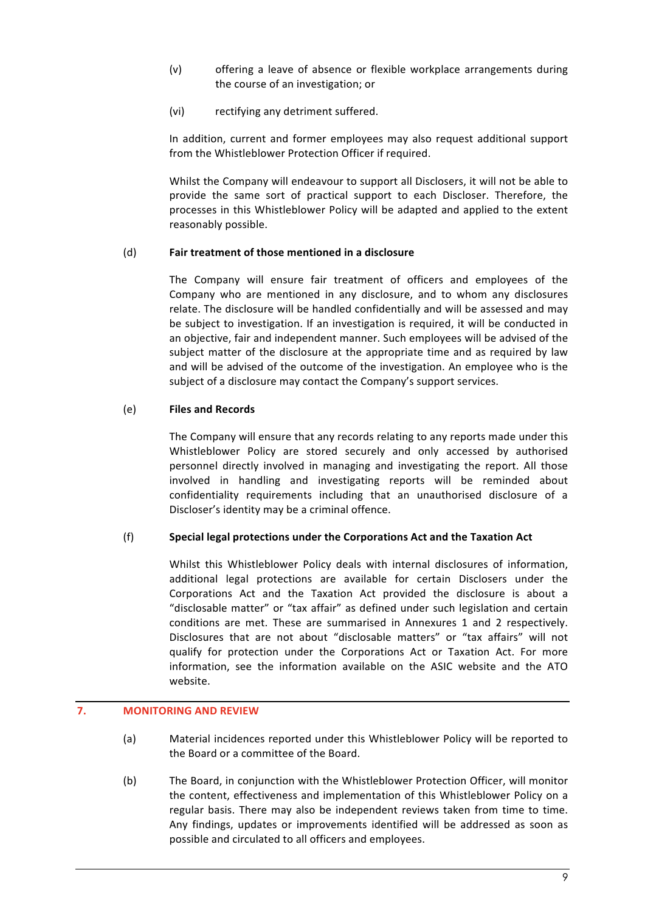- $(v)$  offering a leave of absence or flexible workplace arrangements during the course of an investigation; or
- (vi) rectifying any detriment suffered.

In addition, current and former employees may also request additional support from the Whistleblower Protection Officer if required.

Whilst the Company will endeavour to support all Disclosers, it will not be able to provide the same sort of practical support to each Discloser. Therefore, the processes in this Whistleblower Policy will be adapted and applied to the extent reasonably possible.

# (d) **Fair treatment of those mentioned in a disclosure**

The Company will ensure fair treatment of officers and employees of the Company who are mentioned in any disclosure, and to whom any disclosures relate. The disclosure will be handled confidentially and will be assessed and may be subject to investigation. If an investigation is required, it will be conducted in an objective, fair and independent manner. Such employees will be advised of the subject matter of the disclosure at the appropriate time and as required by law and will be advised of the outcome of the investigation. An employee who is the subject of a disclosure may contact the Company's support services.

# (e) **Files and Records**

The Company will ensure that any records relating to any reports made under this Whistleblower Policy are stored securely and only accessed by authorised personnel directly involved in managing and investigating the report. All those involved in handling and investigating reports will be reminded about confidentiality requirements including that an unauthorised disclosure of a Discloser's identity may be a criminal offence.

### (f) **Special legal protections under the Corporations Act and the Taxation Act**

Whilst this Whistleblower Policy deals with internal disclosures of information, additional legal protections are available for certain Disclosers under the Corporations Act and the Taxation Act provided the disclosure is about a "disclosable matter" or "tax affair" as defined under such legislation and certain conditions are met. These are summarised in Annexures 1 and 2 respectively. Disclosures that are not about "disclosable matters" or "tax affairs" will not qualify for protection under the Corporations Act or Taxation Act. For more information, see the information available on the ASIC website and the ATO website.

# **7. MONITORING AND REVIEW**

- (a) Material incidences reported under this Whistleblower Policy will be reported to the Board or a committee of the Board.
- (b) The Board, in conjunction with the Whistleblower Protection Officer, will monitor the content, effectiveness and implementation of this Whistleblower Policy on a regular basis. There may also be independent reviews taken from time to time. Any findings, updates or improvements identified will be addressed as soon as possible and circulated to all officers and employees.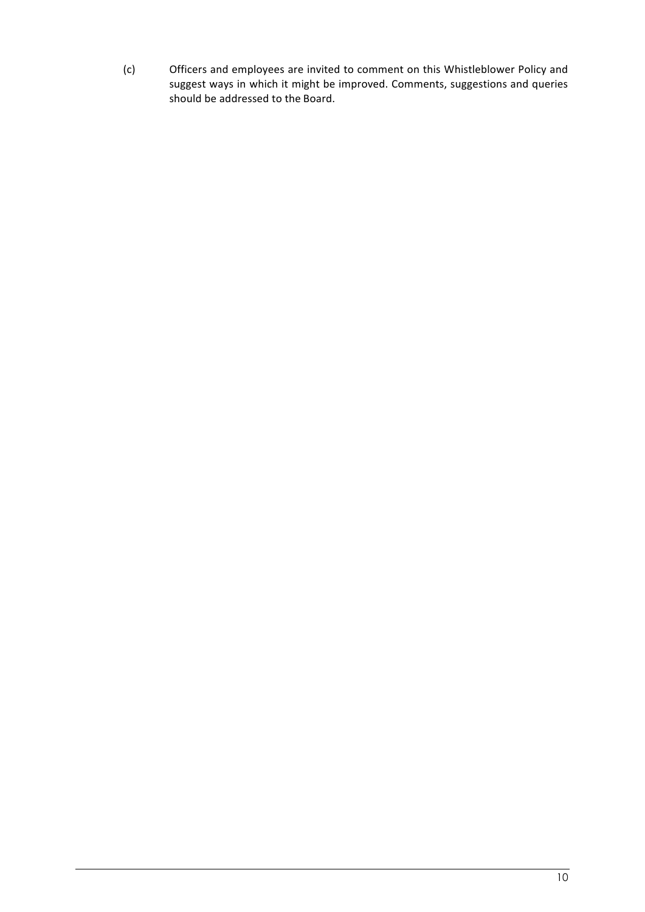(c) Officers and employees are invited to comment on this Whistleblower Policy and suggest ways in which it might be improved. Comments, suggestions and queries should be addressed to the Board.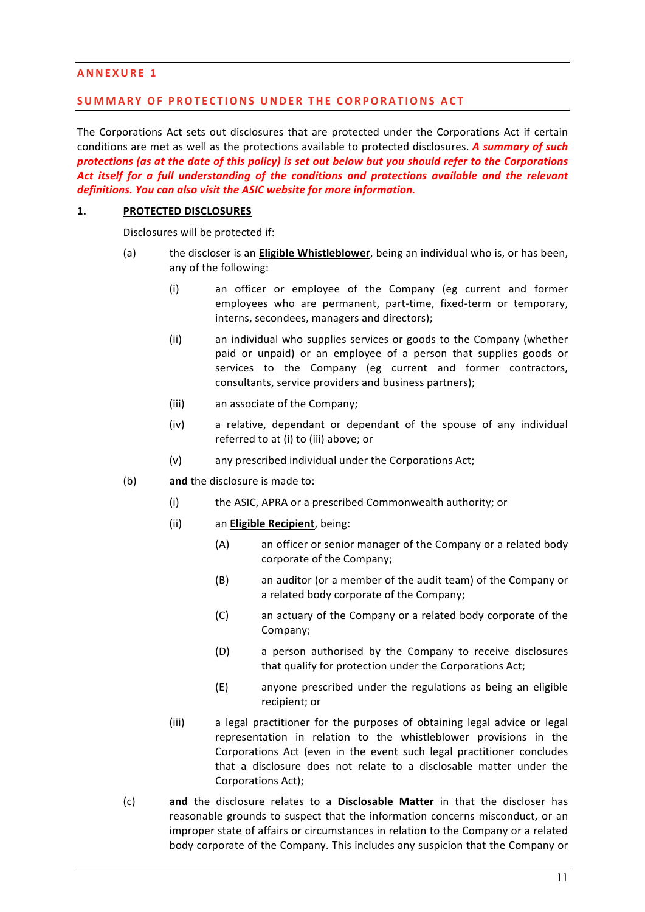### **ANNEXURE 1**

### **SUMMARY OF PROTECTIONS UNDER THE CORPORATIONS ACT**

The Corporations Act sets out disclosures that are protected under the Corporations Act if certain conditions are met as well as the protections available to protected disclosures. A summary of such *protections (as at the date of this policy) is set out below but you should refer to the Corporations* Act *itself for a full understanding of the conditions and protections available and the relevant* definitions. You can also visit the ASIC website for more information.

### 1. **PROTECTED DISCLOSURES**

Disclosures will be protected if:

- (a) the discloser is an **Eligible Whistleblower**, being an individual who is, or has been, any of the following:
	- (i) an officer or employee of the Company (eg current and former employees who are permanent, part-time, fixed-term or temporary, interns, secondees, managers and directors);
	- (ii) an individual who supplies services or goods to the Company (whether paid or unpaid) or an employee of a person that supplies goods or services to the Company (eg current and former contractors, consultants, service providers and business partners);
	- (iii) an associate of the Company;
	- (iv)  $\alpha$  relative, dependant or dependant of the spouse of any individual referred to at (i) to (iii) above; or
	- (v) any prescribed individual under the Corporations Act;
- (b) **and** the disclosure is made to:
	- (i) the ASIC, APRA or a prescribed Commonwealth authority; or
	- (ii) an **Eligible Recipient**, being:
		- (A) an officer or senior manager of the Company or a related body corporate of the Company;
			- (B) an auditor (or a member of the audit team) of the Company or a related body corporate of the Company;
			- (C) an actuary of the Company or a related body corporate of the Company;
			- (D) a person authorised by the Company to receive disclosures that qualify for protection under the Corporations Act;
			- (E) anyone prescribed under the regulations as being an eligible recipient; or
	- (iii) a legal practitioner for the purposes of obtaining legal advice or legal representation in relation to the whistleblower provisions in the Corporations Act (even in the event such legal practitioner concludes that a disclosure does not relate to a disclosable matter under the Corporations Act);
- (c) **and** the disclosure relates to a **Disclosable Matter** in that the discloser has reasonable grounds to suspect that the information concerns misconduct, or an improper state of affairs or circumstances in relation to the Company or a related body corporate of the Company. This includes any suspicion that the Company or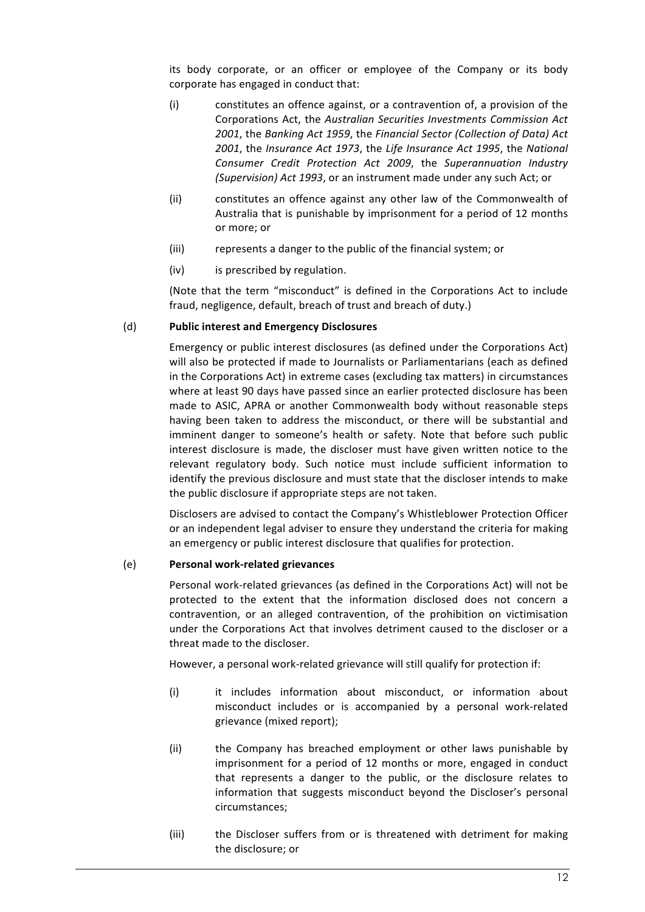its body corporate, or an officer or employee of the Company or its body corporate has engaged in conduct that:

- (i) constitutes an offence against, or a contravention of, a provision of the Corporations Act, the *Australian Securities Investments Commission Act* 2001, the Banking Act 1959, the Financial Sector (Collection of Data) Act 2001, the *Insurance Act 1973*, the Life Insurance Act 1995, the National *Consumer Credit Protection Act 2009*, the *Superannuation Industry (Supervision)* Act 1993, or an instrument made under any such Act; or
- (ii) constitutes an offence against any other law of the Commonwealth of Australia that is punishable by imprisonment for a period of 12 months or more; or
- (iii) represents a danger to the public of the financial system; or
- (iv) is prescribed by regulation.

(Note that the term "misconduct" is defined in the Corporations Act to include fraud, negligence, default, breach of trust and breach of duty.)

### (d) Public interest and Emergency Disclosures

Emergency or public interest disclosures (as defined under the Corporations Act) will also be protected if made to Journalists or Parliamentarians (each as defined in the Corporations Act) in extreme cases (excluding tax matters) in circumstances where at least 90 days have passed since an earlier protected disclosure has been made to ASIC, APRA or another Commonwealth body without reasonable steps having been taken to address the misconduct, or there will be substantial and imminent danger to someone's health or safety. Note that before such public interest disclosure is made, the discloser must have given written notice to the relevant regulatory body. Such notice must include sufficient information to identify the previous disclosure and must state that the discloser intends to make the public disclosure if appropriate steps are not taken.

Disclosers are advised to contact the Company's Whistleblower Protection Officer or an independent legal adviser to ensure they understand the criteria for making an emergency or public interest disclosure that qualifies for protection.

# (e) **Personal work-related grievances**

Personal work-related grievances (as defined in the Corporations Act) will not be protected to the extent that the information disclosed does not concern a contravention, or an alleged contravention, of the prohibition on victimisation under the Corporations Act that involves detriment caused to the discloser or a threat made to the discloser.

However, a personal work-related grievance will still qualify for protection if:

- (i) it includes information about misconduct, or information about misconduct includes or is accompanied by a personal work-related grievance (mixed report);
- (ii) the Company has breached employment or other laws punishable by imprisonment for a period of 12 months or more, engaged in conduct that represents a danger to the public, or the disclosure relates to information that suggests misconduct beyond the Discloser's personal circumstances;
- (iii) the Discloser suffers from or is threatened with detriment for making the disclosure; or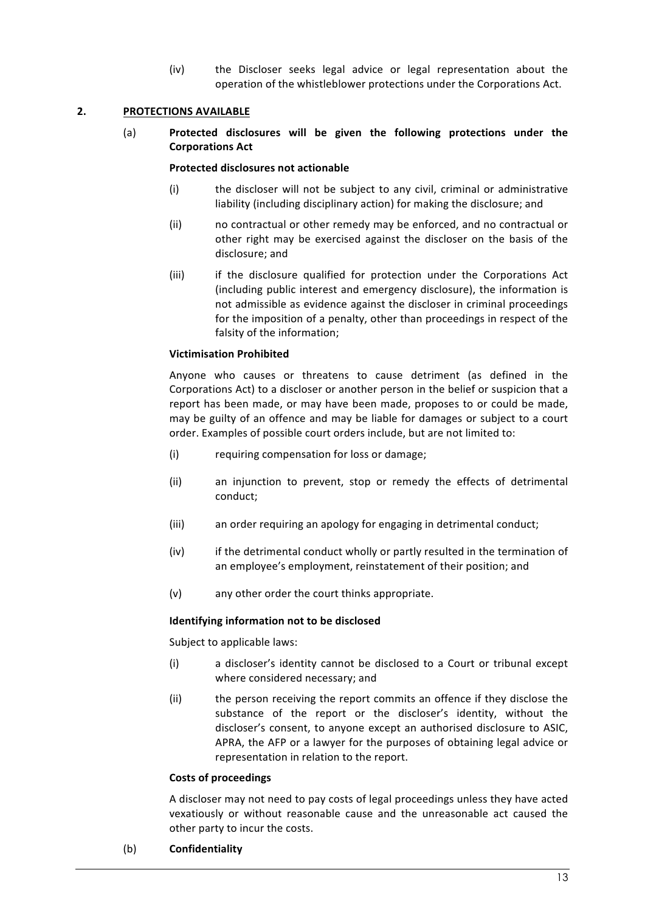(iv) the Discloser seeks legal advice or legal representation about the operation of the whistleblower protections under the Corporations Act.

### **2. PROTECTIONS AVAILABLE**

(a) **Protected disclosures will be given the following protections under the Corporations Act**

### **Protected disclosures not actionable**

- (i) the discloser will not be subject to any civil, criminal or administrative liability (including disciplinary action) for making the disclosure; and
- (ii) no contractual or other remedy may be enforced, and no contractual or other right may be exercised against the discloser on the basis of the disclosure; and
- (iii) if the disclosure qualified for protection under the Corporations Act (including public interest and emergency disclosure), the information is not admissible as evidence against the discloser in criminal proceedings for the imposition of a penalty, other than proceedings in respect of the falsity of the information;

### **Victimisation Prohibited**

Anyone who causes or threatens to cause detriment (as defined in the Corporations Act) to a discloser or another person in the belief or suspicion that a report has been made, or may have been made, proposes to or could be made. may be guilty of an offence and may be liable for damages or subject to a court order. Examples of possible court orders include, but are not limited to:

- (i) requiring compensation for loss or damage;
- (ii) an injunction to prevent, stop or remedy the effects of detrimental conduct;
- (iii) an order requiring an apology for engaging in detrimental conduct;
- (iv) if the detrimental conduct wholly or partly resulted in the termination of an employee's employment, reinstatement of their position; and
- (v) any other order the court thinks appropriate.

### **Identifying information not to be disclosed**

Subject to applicable laws:

- (i) a discloser's identity cannot be disclosed to a Court or tribunal except where considered necessary; and
- (ii) the person receiving the report commits an offence if they disclose the substance of the report or the discloser's identity, without the discloser's consent, to anyone except an authorised disclosure to ASIC, APRA, the AFP or a lawyer for the purposes of obtaining legal advice or representation in relation to the report.

#### **Costs of proceedings**

A discloser may not need to pay costs of legal proceedings unless they have acted vexatiously or without reasonable cause and the unreasonable act caused the other party to incur the costs.

(b) **Confidentiality**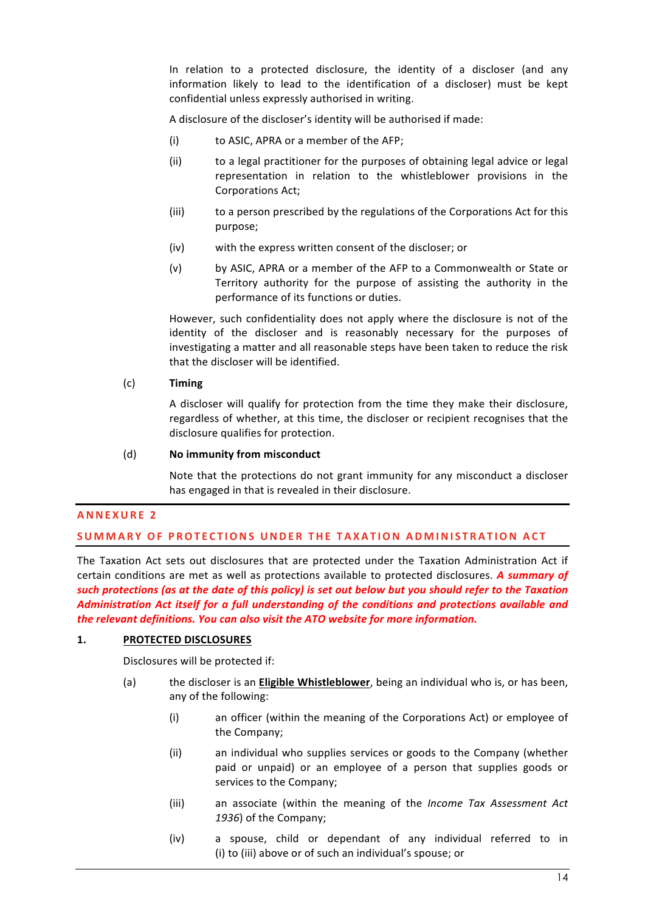In relation to a protected disclosure, the identity of a discloser (and any information likely to lead to the identification of a discloser) must be kept confidential unless expressly authorised in writing.

A disclosure of the discloser's identity will be authorised if made:

- (i) to ASIC, APRA or a member of the AFP;
- (ii) to a legal practitioner for the purposes of obtaining legal advice or legal representation in relation to the whistleblower provisions in the Corporations Act;
- (iii) to a person prescribed by the regulations of the Corporations Act for this purpose;
- (iv) with the express written consent of the discloser; or
- (v) by ASIC, APRA or a member of the AFP to a Commonwealth or State or Territory authority for the purpose of assisting the authority in the performance of its functions or duties.

However, such confidentiality does not apply where the disclosure is not of the identity of the discloser and is reasonably necessary for the purposes of investigating a matter and all reasonable steps have been taken to reduce the risk that the discloser will be identified.

# (c) **Timing**

A discloser will qualify for protection from the time they make their disclosure. regardless of whether, at this time, the discloser or recipient recognises that the disclosure qualifies for protection.

# (d) **No immunity from misconduct**

Note that the protections do not grant immunity for any misconduct a discloser has engaged in that is revealed in their disclosure.

### **ANNEXURE 2**

# **SUMMARY OF PROTECTIONS UNDER THE TAXATION ADMINISTRATION ACT**

The Taxation Act sets out disclosures that are protected under the Taxation Administration Act if certain conditions are met as well as protections available to protected disclosures. A summary of such protections (as at the date of this policy) is set out below but you should refer to the Taxation Administration Act itself for a full understanding of the conditions and protections available and *the relevant definitions. You can also visit the ATO website for more information.* 

### 1. **PROTECTED DISCLOSURES**

Disclosures will be protected if:

- (a) the discloser is an **Eligible Whistleblower**, being an individual who is, or has been, any of the following:
	- (i) an officer (within the meaning of the Corporations Act) or employee of the Company:
	- (ii) an individual who supplies services or goods to the Company (whether paid or unpaid) or an employee of a person that supplies goods or services to the Company;
	- (iii) an associate (within the meaning of the *Income Tax Assessment Act* 1936) of the Company;
	- (iv) a spouse, child or dependant of any individual referred to in (i) to (iii) above or of such an individual's spouse; or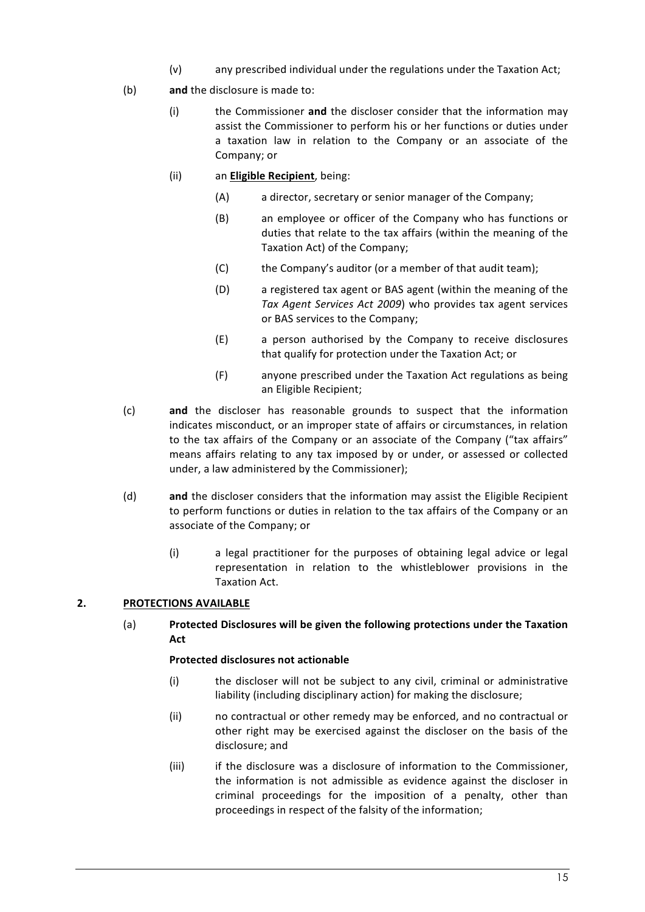- (v) any prescribed individual under the regulations under the Taxation Act;
- (b) **and** the disclosure is made to:
	- (i) the Commissioner and the discloser consider that the information may assist the Commissioner to perform his or her functions or duties under a taxation law in relation to the Company or an associate of the Company; or
	- (ii) an **Eligible Recipient**, being:
		- (A) a director, secretary or senior manager of the Company:
		- (B) an employee or officer of the Company who has functions or duties that relate to the tax affairs (within the meaning of the Taxation Act) of the Company;
		- (C) the Company's auditor (or a member of that audit team);
		- (D) a registered tax agent or BAS agent (within the meaning of the *Tax Agent Services Act 2009*) who provides tax agent services or BAS services to the Company;
		- (E) a person authorised by the Company to receive disclosures that qualify for protection under the Taxation Act; or
		- (F) anyone prescribed under the Taxation Act regulations as being an Eligible Recipient:
- (c) **and** the discloser has reasonable grounds to suspect that the information indicates misconduct, or an improper state of affairs or circumstances, in relation to the tax affairs of the Company or an associate of the Company ("tax affairs" means affairs relating to any tax imposed by or under, or assessed or collected under, a law administered by the Commissioner);
- (d) and the discloser considers that the information may assist the Eligible Recipient to perform functions or duties in relation to the tax affairs of the Company or an associate of the Company; or
	- $(i)$  a legal practitioner for the purposes of obtaining legal advice or legal representation in relation to the whistleblower provisions in the Taxation Act.

# **2. PROTECTIONS AVAILABLE**

(a) **Protected Disclosures will be given the following protections under the Taxation Act**

# **Protected disclosures not actionable**

- (i) the discloser will not be subject to any civil, criminal or administrative liability (including disciplinary action) for making the disclosure;
- (ii) no contractual or other remedy may be enforced, and no contractual or other right may be exercised against the discloser on the basis of the disclosure: and
- (iii) if the disclosure was a disclosure of information to the Commissioner, the information is not admissible as evidence against the discloser in criminal proceedings for the imposition of a penalty, other than proceedings in respect of the falsity of the information;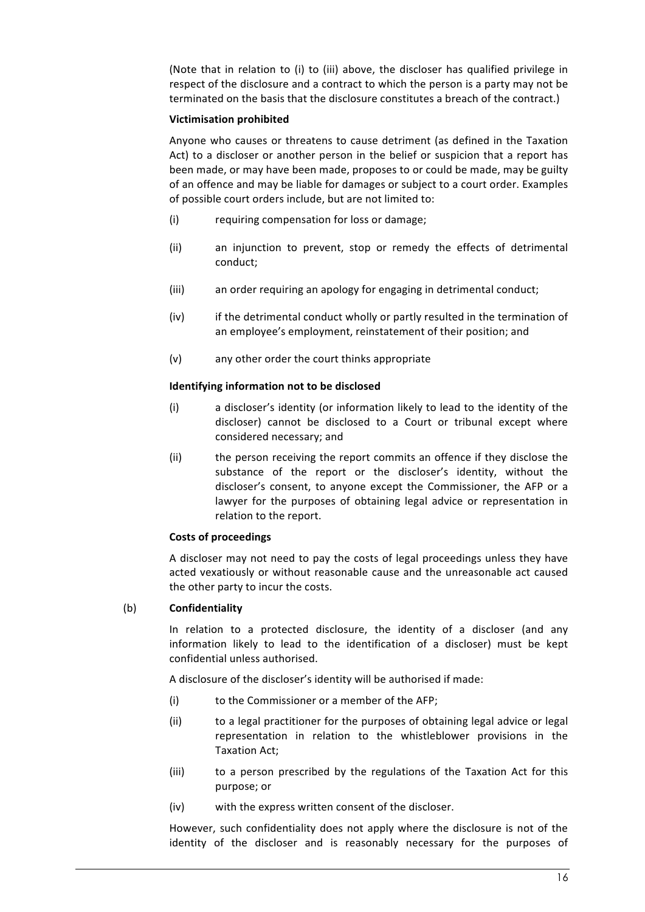(Note that in relation to (i) to (iii) above, the discloser has qualified privilege in respect of the disclosure and a contract to which the person is a party may not be terminated on the basis that the disclosure constitutes a breach of the contract.)

### **Victimisation prohibited**

Anyone who causes or threatens to cause detriment (as defined in the Taxation Act) to a discloser or another person in the belief or suspicion that a report has been made, or may have been made, proposes to or could be made, may be guilty of an offence and may be liable for damages or subject to a court order. Examples of possible court orders include, but are not limited to:

- (i) requiring compensation for loss or damage;
- (ii) an injunction to prevent, stop or remedy the effects of detrimental conduct;
- (iii) an order requiring an apology for engaging in detrimental conduct;
- (iv) if the detrimental conduct wholly or partly resulted in the termination of an employee's employment, reinstatement of their position; and
- (v) any other order the court thinks appropriate

# **Identifying information not to be disclosed**

- (i) a discloser's identity (or information likely to lead to the identity of the discloser) cannot be disclosed to a Court or tribunal except where considered necessary; and
- (ii) the person receiving the report commits an offence if they disclose the substance of the report or the discloser's identity, without the discloser's consent, to anyone except the Commissioner, the AFP or a lawyer for the purposes of obtaining legal advice or representation in relation to the report.

### **Costs of proceedings**

A discloser may not need to pay the costs of legal proceedings unless they have acted vexatiously or without reasonable cause and the unreasonable act caused the other party to incur the costs.

### (b) **Confidentiality**

In relation to a protected disclosure, the identity of a discloser (and any information likely to lead to the identification of a discloser) must be kept confidential unless authorised.

A disclosure of the discloser's identity will be authorised if made:

- (i) to the Commissioner or a member of the AFP;
- (ii) to a legal practitioner for the purposes of obtaining legal advice or legal representation in relation to the whistleblower provisions in the Taxation Act;
- (iii) to a person prescribed by the regulations of the Taxation Act for this purpose; or
- (iv) with the express written consent of the discloser.

However, such confidentiality does not apply where the disclosure is not of the identity of the discloser and is reasonably necessary for the purposes of